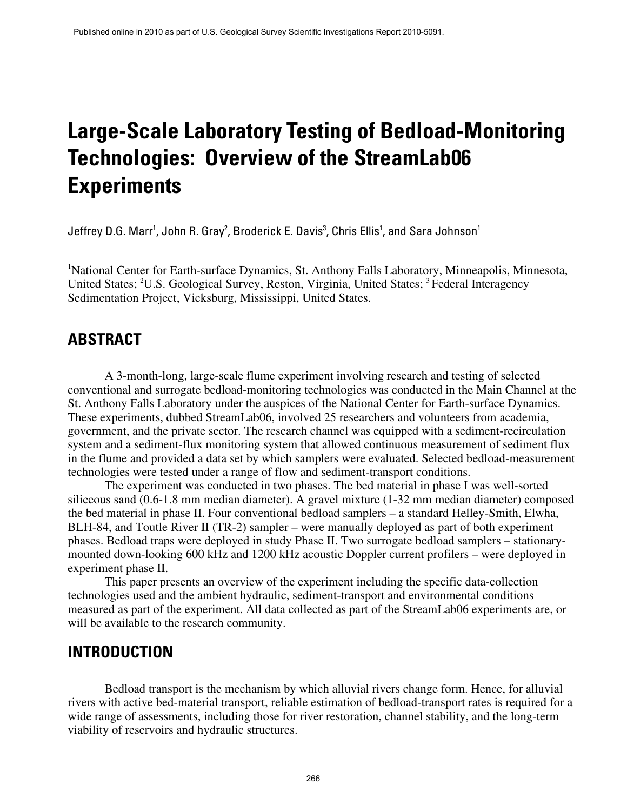# **Large-Scale Laboratory Testing of Bedload-Monitoring Technologies: Overview of the StreamLab06 Experiments**

Jeffrey D.G. Marr<sup>1</sup>, John R. Gray<sup>2</sup>, Broderick E. Davis<sup>3</sup>, Chris Ellis<sup>1</sup>, and Sara Johnson<sup>1</sup>

<sup>1</sup>National Center for Earth-surface Dynamics, St. Anthony Falls Laboratory, Minneapolis, Minnesota, United States; <sup>2</sup>U.S. Geological Survey, Reston, Virginia, United States; <sup>3</sup> Federal Interagency Sedimentation Project, Vicksburg, Mississippi, United States.

### **ABSTRACT**

A 3-month-long, large-scale flume experiment involving research and testing of selected conventional and surrogate bedload-monitoring technologies was conducted in the Main Channel at the St. Anthony Falls Laboratory under the auspices of the National Center for Earth-surface Dynamics. These experiments, dubbed StreamLab06, involved 25 researchers and volunteers from academia, government, and the private sector. The research channel was equipped with a sediment-recirculation system and a sediment-flux monitoring system that allowed continuous measurement of sediment flux in the flume and provided a data set by which samplers were evaluated. Selected bedload-measurement technologies were tested under a range of flow and sediment-transport conditions.

The experiment was conducted in two phases. The bed material in phase I was well-sorted siliceous sand (0.6-1.8 mm median diameter). A gravel mixture (1-32 mm median diameter) composed the bed material in phase II. Four conventional bedload samplers – a standard Helley-Smith, Elwha, BLH-84, and Toutle River II (TR-2) sampler – were manually deployed as part of both experiment phases. Bedload traps were deployed in study Phase II. Two surrogate bedload samplers – stationarymounted down-looking 600 kHz and 1200 kHz acoustic Doppler current profilers – were deployed in experiment phase II.

This paper presents an overview of the experiment including the specific data-collection technologies used and the ambient hydraulic, sediment-transport and environmental conditions measured as part of the experiment. All data collected as part of the StreamLab06 experiments are, or will be available to the research community.

### **INTRODUCTION**

Bedload transport is the mechanism by which alluvial rivers change form. Hence, for alluvial rivers with active bed-material transport, reliable estimation of bedload-transport rates is required for a wide range of assessments, including those for river restoration, channel stability, and the long-term viability of reservoirs and hydraulic structures.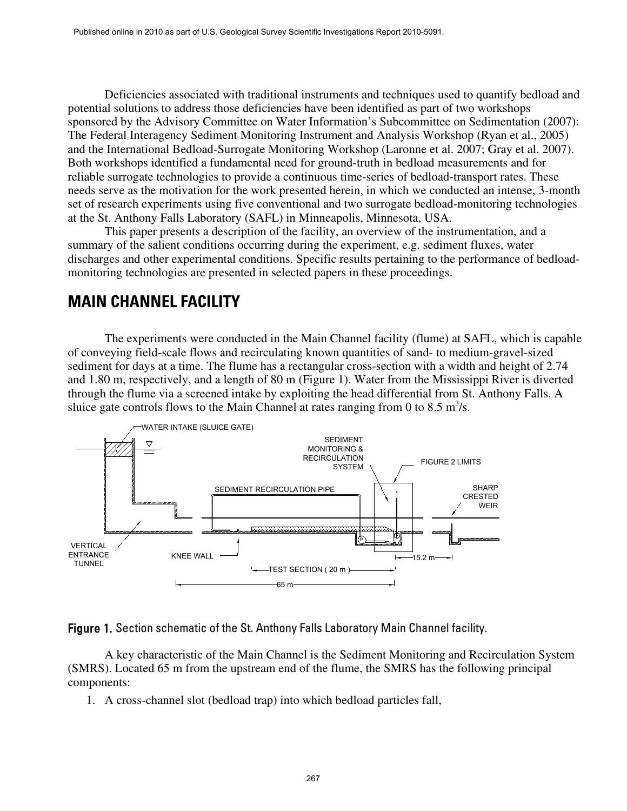Deficiencies associated with traditional instruments and techniques used to quantify bedload and potential solutions to address those deficiencies have been identified as part of two workshops sponsored by the Advisory Committee on Water Information's Subcommittee on Sedimentation (2007): The Federal Interagency Sediment Monitoring Instrument and Analysis Workshop (Ryan et al., 2005) and the International Bedload-Surrogate Monitoring Workshop (Laronne et al. 2007; Gray et al. 2007). Both workshops identified a fundamental need for ground-truth in bedload measurements and for reliable surrogate technologies to provide a continuous time-series of bedload-transport rates. These needs serve as the motivation for the work presented herein, in which we conducted an intense, 3-month set of research experiments using five conventional and two surrogate bedload-monitoring technologies at the St. Anthony Falls Laboratory (SAFL) in Minneapolis, Minnesota, USA.

This paper presents a description of the facility, an overview of the instrumentation, and a summary of the salient conditions occurring during the experiment, e.g. sediment fluxes, water discharges and other experimental conditions. Specific results pertaining to the performance of bedloadmonitoring technologies are presented in selected papers in these proceedings.

# **MAIN CHANNEL FACILITY**

The experiments were conducted in the Main Channel facility (flume) at SAFL, which is capable of conveying field-scale flows and recirculating known quantities of sand- to medium-gravel-sized sediment for days at a time. The flume has a rectangular cross-section with a width and height of 2.74 and 1.80 m, respectively, and a length of 80 m (Figure 1). Water from the Mississippi River is diverted through the flume via a screened intake by exploiting the head differential from St. Anthony Falls. A sluice gate controls flows to the Main Channel at rates ranging from 0 to 8.5 m<sup>3</sup>/s.



Figure 1. Section schematic of the St. Anthony Falls Laboratory Main Channel facility.

A key characteristic of the Main Channel is the Sediment Monitoring and Recirculation System (SMRS). Located 65 m from the upstream end of the flume, the SMRS has the following principal components:

1. A cross-channel slot (bedload trap) into which bedload particles fall,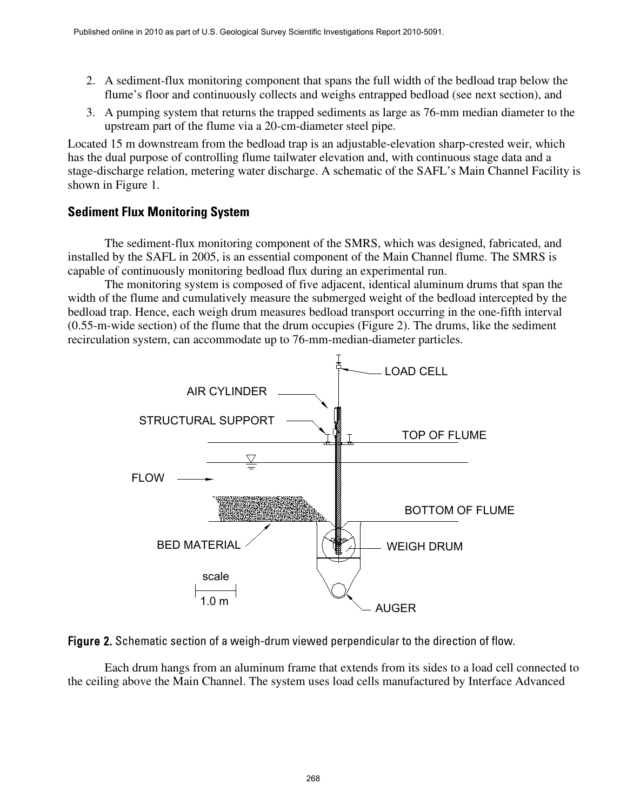- 2. A sediment-flux monitoring component that spans the full width of the bedload trap below the flume's floor and continuously collects and weighs entrapped bedload (see next section), and
- 3. A pumping system that returns the trapped sediments as large as 76-mm median diameter to the upstream part of the flume via a 20-cm-diameter steel pipe.

Located 15 m downstream from the bedload trap is an adjustable-elevation sharp-crested weir, which has the dual purpose of controlling flume tailwater elevation and, with continuous stage data and a stage-discharge relation, metering water discharge. A schematic of the SAFL's Main Channel Facility is shown in Figure 1.

#### **Sediment Flux Monitoring System**

The sediment-flux monitoring component of the SMRS, which was designed, fabricated, and installed by the SAFL in 2005, is an essential component of the Main Channel flume. The SMRS is capable of continuously monitoring bedload flux during an experimental run.

The monitoring system is composed of five adjacent, identical aluminum drums that span the width of the flume and cumulatively measure the submerged weight of the bedload intercepted by the bedload trap. Hence, each weigh drum measures bedload transport occurring in the one-fifth interval (0.55-m-wide section) of the flume that the drum occupies (Figure 2). The drums, like the sediment recirculation system, can accommodate up to 76-mm-median-diameter particles.





Each drum hangs from an aluminum frame that extends from its sides to a load cell connected to the ceiling above the Main Channel. The system uses load cells manufactured by Interface Advanced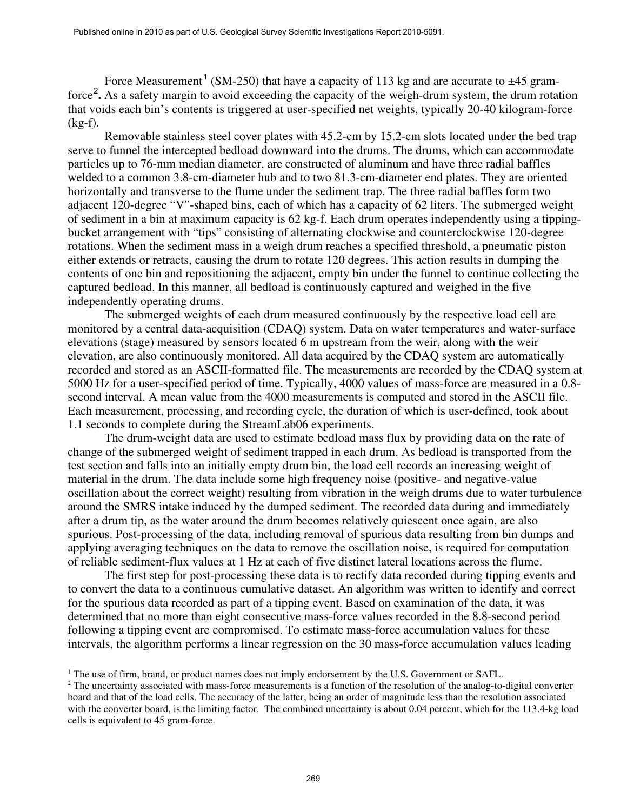Force Measurement<sup>[1](#page-3-0)</sup> (SM-250) that have a capacity of 113 kg and are accurate to  $\pm$ 45 gram-force<sup>[2](#page-3-1)</sup>. As a safety margin to avoid exceeding the capacity of the weigh-drum system, the drum rotation that voids each bin's contents is triggered at user-specified net weights, typically 20-40 kilogram-force (kg-f).

Removable stainless steel cover plates with 45.2-cm by 15.2-cm slots located under the bed trap serve to funnel the intercepted bedload downward into the drums. The drums, which can accommodate particles up to 76-mm median diameter, are constructed of aluminum and have three radial baffles welded to a common 3.8-cm-diameter hub and to two 81.3-cm-diameter end plates. They are oriented horizontally and transverse to the flume under the sediment trap. The three radial baffles form two adjacent 120-degree "V"-shaped bins, each of which has a capacity of 62 liters. The submerged weight of sediment in a bin at maximum capacity is 62 kg-f. Each drum operates independently using a tippingbucket arrangement with "tips" consisting of alternating clockwise and counterclockwise 120-degree rotations. When the sediment mass in a weigh drum reaches a specified threshold, a pneumatic piston either extends or retracts, causing the drum to rotate 120 degrees. This action results in dumping the contents of one bin and repositioning the adjacent, empty bin under the funnel to continue collecting the captured bedload. In this manner, all bedload is continuously captured and weighed in the five independently operating drums.

The submerged weights of each drum measured continuously by the respective load cell are monitored by a central data-acquisition (CDAQ) system. Data on water temperatures and water-surface elevations (stage) measured by sensors located 6 m upstream from the weir, along with the weir elevation, are also continuously monitored. All data acquired by the CDAQ system are automatically recorded and stored as an ASCII-formatted file. The measurements are recorded by the CDAQ system at 5000 Hz for a user-specified period of time. Typically, 4000 values of mass-force are measured in a 0.8 second interval. A mean value from the 4000 measurements is computed and stored in the ASCII file. Each measurement, processing, and recording cycle, the duration of which is user-defined, took about 1.1 seconds to complete during the StreamLab06 experiments.

The drum-weight data are used to estimate bedload mass flux by providing data on the rate of change of the submerged weight of sediment trapped in each drum. As bedload is transported from the test section and falls into an initially empty drum bin, the load cell records an increasing weight of material in the drum. The data include some high frequency noise (positive- and negative-value oscillation about the correct weight) resulting from vibration in the weigh drums due to water turbulence around the SMRS intake induced by the dumped sediment. The recorded data during and immediately after a drum tip, as the water around the drum becomes relatively quiescent once again, are also spurious. Post-processing of the data, including removal of spurious data resulting from bin dumps and applying averaging techniques on the data to remove the oscillation noise, is required for computation of reliable sediment-flux values at 1 Hz at each of five distinct lateral locations across the flume.

The first step for post-processing these data is to rectify data recorded during tipping events and to convert the data to a continuous cumulative dataset. An algorithm was written to identify and correct for the spurious data recorded as part of a tipping event. Based on examination of the data, it was determined that no more than eight consecutive mass-force values recorded in the 8.8-second period following a tipping event are compromised. To estimate mass-force accumulation values for these intervals, the algorithm performs a linear regression on the 30 mass-force accumulation values leading

<span id="page-3-0"></span><sup>&</sup>lt;sup>1</sup> The use of firm, brand, or product names does not imply endorsement by the U.S. Government or SAFL.

<span id="page-3-1"></span><sup>&</sup>lt;sup>2</sup> The uncertainty associated with mass-force measurements is a function of the resolution of the analog-to-digital converter board and that of the load cells. The accuracy of the latter, being an order of magnitude less than the resolution associated with the converter board, is the limiting factor. The combined uncertainty is about 0.04 percent, which for the 113.4-kg load cells is equivalent to 45 gram-force.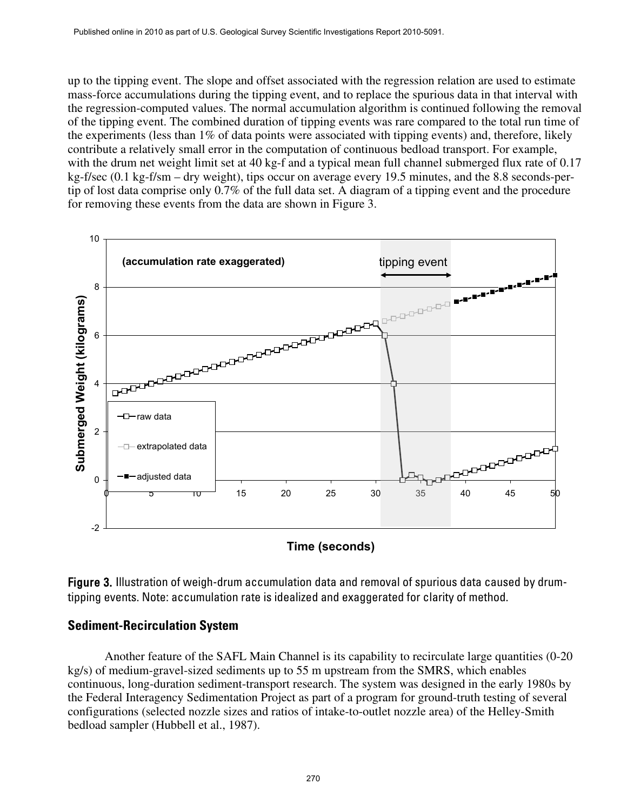up to the tipping event. The slope and offset associated with the regression relation are used to estimate mass-force accumulations during the tipping event, and to replace the spurious data in that interval with the regression-computed values. The normal accumulation algorithm is continued following the removal of the tipping event. The combined duration of tipping events was rare compared to the total run time of the experiments (less than 1% of data points were associated with tipping events) and, therefore, likely contribute a relatively small error in the computation of continuous bedload transport. For example, with the drum net weight limit set at 40 kg-f and a typical mean full channel submerged flux rate of 0.17 kg-f/sec (0.1 kg-f/sm – dry weight), tips occur on average every 19.5 minutes, and the 8.8 seconds-pertip of lost data comprise only 0.7% of the full data set. A diagram of a tipping event and the procedure for removing these events from the data are shown in Figure 3.



**Time (seconds)**

Figure 3. Illustration of weigh-drum accumulation data and removal of spurious data caused by drumtipping events. Note: accumulation rate is idealized and exaggerated for clarity of method.

#### **Sediment-Recirculation System**

Another feature of the SAFL Main Channel is its capability to recirculate large quantities (0-20 kg/s) of medium-gravel-sized sediments up to 55 m upstream from the SMRS, which enables continuous, long-duration sediment-transport research. The system was designed in the early 1980s by the Federal Interagency Sedimentation Project as part of a program for ground-truth testing of several configurations (selected nozzle sizes and ratios of intake-to-outlet nozzle area) of the Helley-Smith bedload sampler (Hubbell et al., 1987).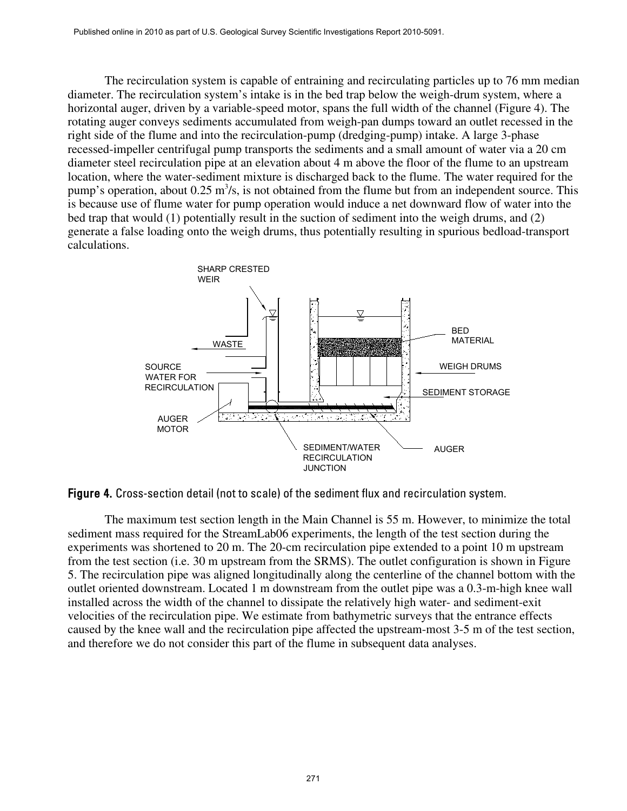The recirculation system is capable of entraining and recirculating particles up to 76 mm median diameter. The recirculation system's intake is in the bed trap below the weigh-drum system, where a horizontal auger, driven by a variable-speed motor, spans the full width of the channel (Figure 4). The rotating auger conveys sediments accumulated from weigh-pan dumps toward an outlet recessed in the right side of the flume and into the recirculation-pump (dredging-pump) intake. A large 3-phase recessed-impeller centrifugal pump transports the sediments and a small amount of water via a 20 cm diameter steel recirculation pipe at an elevation about 4 m above the floor of the flume to an upstream location, where the water-sediment mixture is discharged back to the flume. The water required for the pump's operation, about 0.25 m<sup>3</sup>/s, is not obtained from the flume but from an independent source. This is because use of flume water for pump operation would induce a net downward flow of water into the bed trap that would (1) potentially result in the suction of sediment into the weigh drums, and (2) generate a false loading onto the weigh drums, thus potentially resulting in spurious bedload-transport calculations.





The maximum test section length in the Main Channel is 55 m. However, to minimize the total sediment mass required for the StreamLab06 experiments, the length of the test section during the experiments was shortened to 20 m. The 20-cm recirculation pipe extended to a point 10 m upstream from the test section (i.e. 30 m upstream from the SRMS). The outlet configuration is shown in Figure 5. The recirculation pipe was aligned longitudinally along the centerline of the channel bottom with the outlet oriented downstream. Located 1 m downstream from the outlet pipe was a 0.3-m-high knee wall installed across the width of the channel to dissipate the relatively high water- and sediment-exit velocities of the recirculation pipe. We estimate from bathymetric surveys that the entrance effects caused by the knee wall and the recirculation pipe affected the upstream-most 3-5 m of the test section, and therefore we do not consider this part of the flume in subsequent data analyses.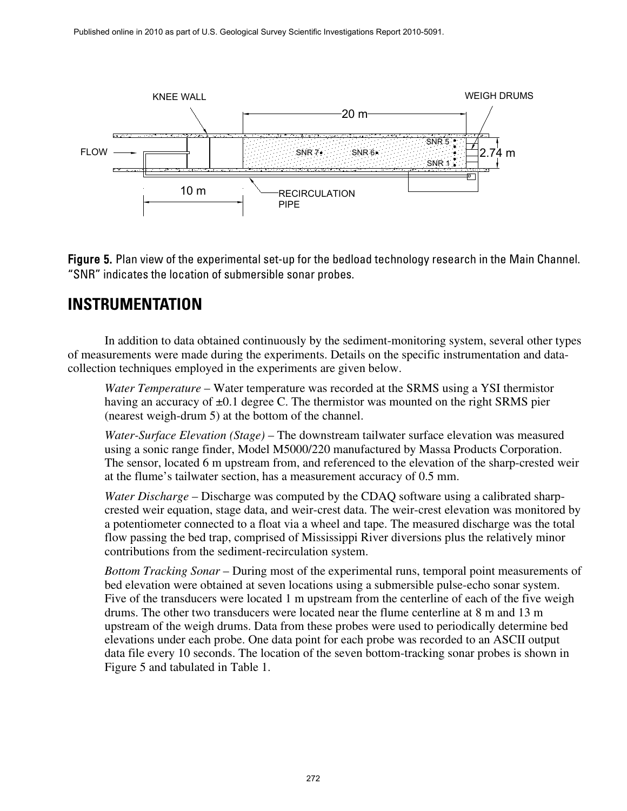

Figure 5. Plan view of the experimental set-up for the bedload technology research in the Main Channel. "SNR" indicates the location of submersible sonar probes.

# **INSTRUMENTATION**

In addition to data obtained continuously by the sediment-monitoring system, several other types of measurements were made during the experiments. Details on the specific instrumentation and datacollection techniques employed in the experiments are given below.

*Water Temperature* – Water temperature was recorded at the SRMS using a YSI thermistor having an accuracy of  $\pm 0.1$  degree C. The thermistor was mounted on the right SRMS pier (nearest weigh-drum 5) at the bottom of the channel.

*Water-Surface Elevation (Stage)* – The downstream tailwater surface elevation was measured using a sonic range finder, Model M5000/220 manufactured by Massa Products Corporation. The sensor, located 6 m upstream from, and referenced to the elevation of the sharp-crested weir at the flume's tailwater section, has a measurement accuracy of 0.5 mm.

*Water Discharge* – Discharge was computed by the CDAQ software using a calibrated sharpcrested weir equation, stage data, and weir-crest data. The weir-crest elevation was monitored by a potentiometer connected to a float via a wheel and tape. The measured discharge was the total flow passing the bed trap, comprised of Mississippi River diversions plus the relatively minor contributions from the sediment-recirculation system.

*Bottom Tracking Sonar* – During most of the experimental runs, temporal point measurements of bed elevation were obtained at seven locations using a submersible pulse-echo sonar system. Five of the transducers were located 1 m upstream from the centerline of each of the five weigh drums. The other two transducers were located near the flume centerline at 8 m and 13 m upstream of the weigh drums. Data from these probes were used to periodically determine bed elevations under each probe. One data point for each probe was recorded to an ASCII output data file every 10 seconds. The location of the seven bottom-tracking sonar probes is shown in Figure 5 and tabulated in Table 1.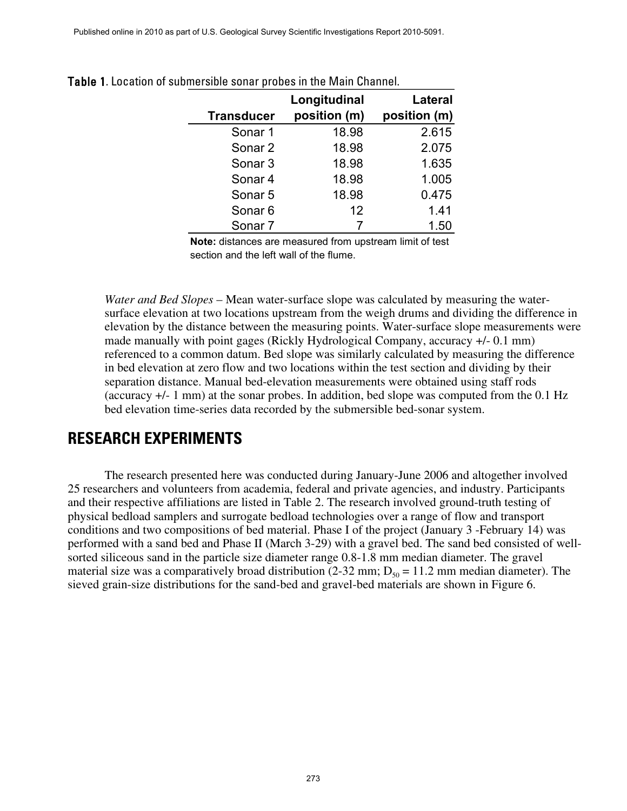Published online in 2010 as part of U.S. Geological Survey Scientific Investigations Report 2010-5091.

| <b>Transducer</b>  | Longitudinal<br>position (m) | Lateral<br>position (m) |
|--------------------|------------------------------|-------------------------|
| Sonar <sub>1</sub> | 18.98                        | 2.615                   |
| Sonar <sub>2</sub> | 18.98                        | 2.075                   |
| Sonar <sub>3</sub> | 18.98                        | 1.635                   |
| Sonar <sub>4</sub> | 18.98                        | 1.005                   |
| Sonar <sub>5</sub> | 18.98                        | 0.475                   |
| Sonar <sub>6</sub> | 12                           | 1.41                    |
| Sonar 7            |                              | 1.50                    |

|  |  | Table 1. Location of submersible sonar probes in the Main Channel. |  |  |  |  |
|--|--|--------------------------------------------------------------------|--|--|--|--|
|--|--|--------------------------------------------------------------------|--|--|--|--|

**Note:** distances are measured from upstream limit of test section and the left wall of the flume.

*Water and Bed Slopes* – Mean water-surface slope was calculated by measuring the watersurface elevation at two locations upstream from the weigh drums and dividing the difference in elevation by the distance between the measuring points. Water-surface slope measurements were made manually with point gages (Rickly Hydrological Company, accuracy +/- 0.1 mm) referenced to a common datum. Bed slope was similarly calculated by measuring the difference in bed elevation at zero flow and two locations within the test section and dividing by their separation distance. Manual bed-elevation measurements were obtained using staff rods (accuracy +/- 1 mm) at the sonar probes. In addition, bed slope was computed from the 0.1 Hz bed elevation time-series data recorded by the submersible bed-sonar system.

### **RESEARCH EXPERIMENTS**

The research presented here was conducted during January-June 2006 and altogether involved 25 researchers and volunteers from academia, federal and private agencies, and industry. Participants and their respective affiliations are listed in Table 2. The research involved ground-truth testing of physical bedload samplers and surrogate bedload technologies over a range of flow and transport conditions and two compositions of bed material. Phase I of the project (January 3 -February 14) was performed with a sand bed and Phase II (March 3-29) with a gravel bed. The sand bed consisted of wellsorted siliceous sand in the particle size diameter range 0.8-1.8 mm median diameter. The gravel material size was a comparatively broad distribution (2-32 mm;  $D_{50} = 11.2$  mm median diameter). The sieved grain-size distributions for the sand-bed and gravel-bed materials are shown in Figure 6.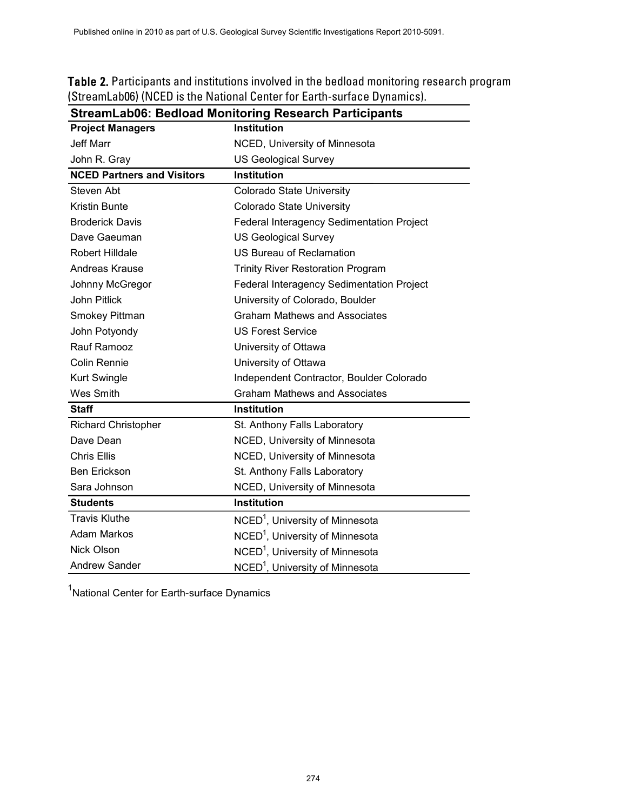| <b>Table 2.</b> Participants and institutions involved in the bedload monitoring research program |
|---------------------------------------------------------------------------------------------------|
| (StreamLab06) (NCED is the National Center for Earth-surface Dynamics).                           |

| <b>Project Managers</b>           | <b>Institution</b>                          |  |
|-----------------------------------|---------------------------------------------|--|
| <b>Jeff Marr</b>                  | NCED, University of Minnesota               |  |
| John R. Gray                      | <b>US Geological Survey</b>                 |  |
| <b>NCED Partners and Visitors</b> | <b>Institution</b>                          |  |
| Steven Abt                        | <b>Colorado State University</b>            |  |
| <b>Kristin Bunte</b>              | <b>Colorado State University</b>            |  |
| <b>Broderick Davis</b>            | Federal Interagency Sedimentation Project   |  |
| Dave Gaeuman                      | <b>US Geological Survey</b>                 |  |
| <b>Robert Hilldale</b>            | <b>US Bureau of Reclamation</b>             |  |
| Andreas Krause                    | <b>Trinity River Restoration Program</b>    |  |
| Johnny McGregor                   | Federal Interagency Sedimentation Project   |  |
| John Pitlick                      | University of Colorado, Boulder             |  |
| Smokey Pittman                    | <b>Graham Mathews and Associates</b>        |  |
| John Potyondy                     | <b>US Forest Service</b>                    |  |
| Rauf Ramooz                       | University of Ottawa                        |  |
| <b>Colin Rennie</b>               | University of Ottawa                        |  |
| <b>Kurt Swingle</b>               | Independent Contractor, Boulder Colorado    |  |
| Wes Smith                         | <b>Graham Mathews and Associates</b>        |  |
| <b>Staff</b>                      | <b>Institution</b>                          |  |
| <b>Richard Christopher</b>        | St. Anthony Falls Laboratory                |  |
| Dave Dean                         | NCED, University of Minnesota               |  |
| <b>Chris Ellis</b>                | NCED, University of Minnesota               |  |
| <b>Ben Erickson</b>               | St. Anthony Falls Laboratory                |  |
| Sara Johnson                      | NCED, University of Minnesota               |  |
| <b>Students</b>                   | <b>Institution</b>                          |  |
| <b>Travis Kluthe</b>              | NCED <sup>1</sup> , University of Minnesota |  |
| <b>Adam Markos</b>                | NCED <sup>1</sup> , University of Minnesota |  |
| <b>Nick Olson</b>                 | NCED <sup>1</sup> , University of Minnesota |  |
| <b>Andrew Sander</b>              | NCED <sup>1</sup> , University of Minnesota |  |

**StreamLab06: Bedload Monitoring Research Participants**

<sup>1</sup>National Center for Earth-surface Dynamics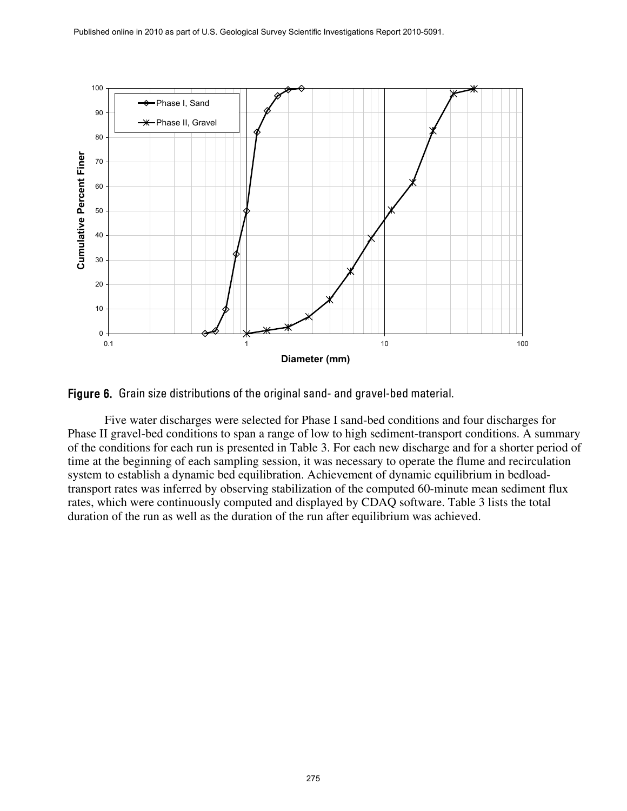

Figure 6. Grain size distributions of the original sand- and gravel-bed material.

Five water discharges were selected for Phase I sand-bed conditions and four discharges for Phase II gravel-bed conditions to span a range of low to high sediment-transport conditions. A summary of the conditions for each run is presented in Table 3. For each new discharge and for a shorter period of time at the beginning of each sampling session, it was necessary to operate the flume and recirculation system to establish a dynamic bed equilibration. Achievement of dynamic equilibrium in bedloadtransport rates was inferred by observing stabilization of the computed 60-minute mean sediment flux rates, which were continuously computed and displayed by CDAQ software. Table 3 lists the total duration of the run as well as the duration of the run after equilibrium was achieved.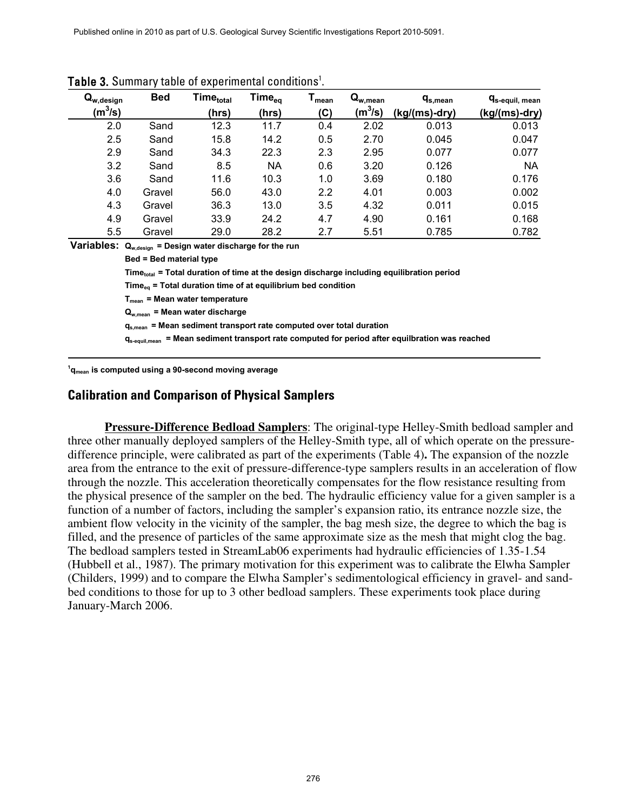| $\mathbf{Q}_{\mathsf{w},\mathsf{design}}$<br>$(m^3/s)$ | <b>Bed</b> | Time <sub>total</sub><br>(hrs) | Time <sub>eq</sub><br>(hrs) | mean<br>(C) | $\mathbf{Q}_{\mathsf{w}, \mathsf{mean}}$<br>(m $^{3}$ /s) | $q_{s,mean}$<br>(kg/(ms)-dry) | <b>q</b> <sub>s-equil, mean</sub><br>(kg/(ms)-dry) |
|--------------------------------------------------------|------------|--------------------------------|-----------------------------|-------------|-----------------------------------------------------------|-------------------------------|----------------------------------------------------|
| 2.0                                                    | Sand       | 12.3                           | 11.7                        | 0.4         | 2.02                                                      | 0.013                         | 0.013                                              |
| 2.5                                                    | Sand       | 15.8                           | 14.2                        | 0.5         | 2.70                                                      | 0.045                         | 0.047                                              |
| 2.9                                                    | Sand       | 34.3                           | 22.3                        | 2.3         | 2.95                                                      | 0.077                         | 0.077                                              |
| 3.2                                                    | Sand       | 8.5                            | <b>NA</b>                   | 0.6         | 3.20                                                      | 0.126                         | <b>NA</b>                                          |
| 3.6                                                    | Sand       | 11.6                           | 10.3                        | 1.0         | 3.69                                                      | 0.180                         | 0.176                                              |
| 4.0                                                    | Gravel     | 56.0                           | 43.0                        | 2.2         | 4.01                                                      | 0.003                         | 0.002                                              |
| 4.3                                                    | Gravel     | 36.3                           | 13.0                        | 3.5         | 4.32                                                      | 0.011                         | 0.015                                              |
| 4.9                                                    | Gravel     | 33.9                           | 24.2                        | 4.7         | 4.90                                                      | 0.161                         | 0.168                                              |
| 5.5                                                    | Gravel     | 29.0                           | 28.2                        | 2.7         | 5.51                                                      | 0.785                         | 0.782                                              |

Table 3. Summary table of experimental conditions<sup>1</sup>.

**Variables: Qw,design = Design water discharge for the run**

**Bed = Bed material type**

**Timetotal = Total duration of time at the design discharge including equilibration period**

Time<sub>eq</sub> = Total duration time of at equilibrium bed condition

**Tmean = Mean water temperature**

**Qw,mean = Mean water discharge**

**qs,mean = Mean sediment transport rate computed over total duration** 

**qs-equil,mean = Mean sediment transport rate computed for period after equilbration was reached**

**1 qmean is computed using a 90-second moving average** 

#### **Calibration and Comparison of Physical Samplers**

**Pressure-Difference Bedload Samplers** : The original-type Helley-Smith bedload sampler and three other manually deployed samplers of the Helley-Smith type, all of which operate on the pressuredifference principle, were calibrated as part of the experiments (Table 4)**.** The expansion of the nozzle area from the entrance to the exit of pressure-difference-type samplers results in an acceleration of flow through the nozzle. This acceleration theoretically compensates for the flow resistance resulting from the physical presence of the sampler on the bed. The hydraulic efficiency value for a given sampler is a function of a number of factors, including the sampler's expansion ratio, its entrance nozzle size, the ambient flow velocity in the vicinity of the sampler, the bag mesh size, the degree to which the bag is filled, and the presence of particles of the same approximate size as the mesh that might clog the bag. The bedload samplers tested in StreamLab06 experiments had hydraulic efficiencies of 1.35-1.54 (Hubbell et al., 1987). The primary motivation for this experiment was to calibrate the Elwha Sampler (Childers, 1999) and to compare the Elwha Sampler's sedimentological efficiency in gravel- and sandbed conditions to those for up to 3 other bedload samplers. These experiments took place during January-March 2006.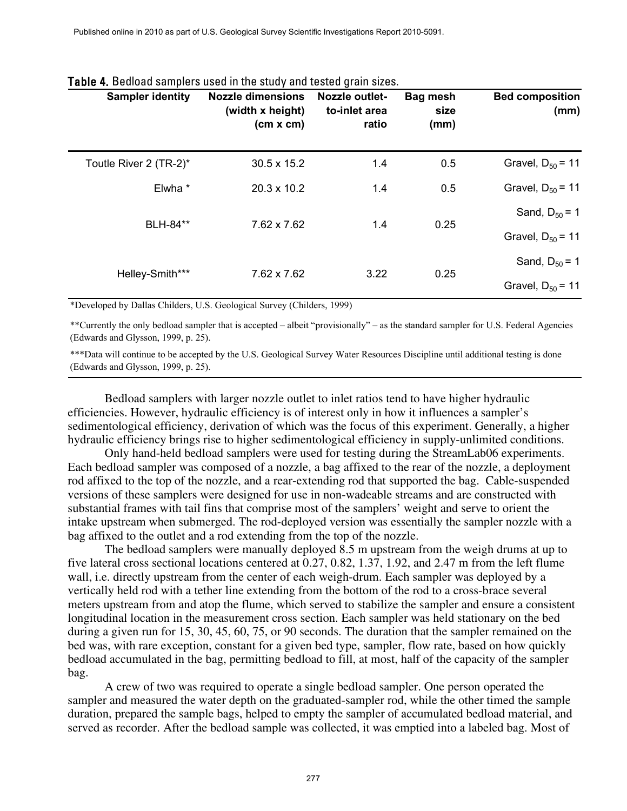| <b>Bed composition</b><br>(mm)              | <b>Bag mesh</b><br>size<br>(mm) | Nozzle outlet-<br>to-inlet area<br>ratio | <b>Nozzle dimensions</b><br>(width x height)<br>(cm x cm) | <b>Sampler identity</b> |
|---------------------------------------------|---------------------------------|------------------------------------------|-----------------------------------------------------------|-------------------------|
| Gravel, $D_{50} = 11$                       | 0.5                             | 1.4                                      | 30.5 x 15.2                                               | Toutle River 2 (TR-2)*  |
| Gravel, $D_{50} = 11$                       | 0.5                             | 1.4                                      | 20.3 x 10.2                                               | Elwha *                 |
| Sand, $D_{50} = 1$<br>Gravel, $D_{50} = 11$ | 0.25                            | 1.4                                      | 7.62 x 7.62                                               | BLH-84**                |
| Sand, $D_{50} = 1$                          | 0.25                            | 3.22                                     | 7.62 x 7.62                                               | Helley-Smith***         |
| Gravel, $D_{50} = 11$                       |                                 |                                          |                                                           |                         |

#### Table 4. Bedload samplers used in the study and tested grain sizes.

\*Developed by Dallas Childers, U.S. Geological Survey (Childers, 1999)

\*\*Currently the only bedload sampler that is accepted – albeit "provisionally" – as the standard sampler for U.S. Federal Agencies (Edwards and Glysson, 1999, p. 25).

\*\*\*Data will continue to be accepted by the U.S. Geological Survey Water Resources Discipline until additional testing is done (Edwards and Glysson, 1999, p. 25).

Bedload samplers with larger nozzle outlet to inlet ratios tend to have higher hydraulic efficiencies. However, hydraulic efficiency is of interest only in how it influences a sampler's sedimentological efficiency, derivation of which was the focus of this experiment. Generally, a higher hydraulic efficiency brings rise to higher sedimentological efficiency in supply-unlimited conditions.

Only hand-held bedload samplers were used for testing during the StreamLab06 experiments. Each bedload sampler was composed of a nozzle, a bag affixed to the rear of the nozzle, a deployment rod affixed to the top of the nozzle, and a rear-extending rod that supported the bag. Cable-suspended versions of these samplers were designed for use in non-wadeable streams and are constructed with substantial frames with tail fins that comprise most of the samplers' weight and serve to orient the intake upstream when submerged. The rod-deployed version was essentially the sampler nozzle with a bag affixed to the outlet and a rod extending from the top of the nozzle.

The bedload samplers were manually deployed 8.5 m upstream from the weigh drums at up to five lateral cross sectional locations centered at 0.27, 0.82, 1.37, 1.92, and 2.47 m from the left flume wall, i.e. directly upstream from the center of each weigh-drum. Each sampler was deployed by a vertically held rod with a tether line extending from the bottom of the rod to a cross-brace several meters upstream from and atop the flume, which served to stabilize the sampler and ensure a consistent longitudinal location in the measurement cross section. Each sampler was held stationary on the bed during a given run for 15, 30, 45, 60, 75, or 90 seconds. The duration that the sampler remained on the bed was, with rare exception, constant for a given bed type, sampler, flow rate, based on how quickly bedload accumulated in the bag, permitting bedload to fill, at most, half of the capacity of the sampler bag.

A crew of two was required to operate a single bedload sampler. One person operated the sampler and measured the water depth on the graduated-sampler rod, while the other timed the sample duration, prepared the sample bags, helped to empty the sampler of accumulated bedload material, and served as recorder. After the bedload sample was collected, it was emptied into a labeled bag. Most of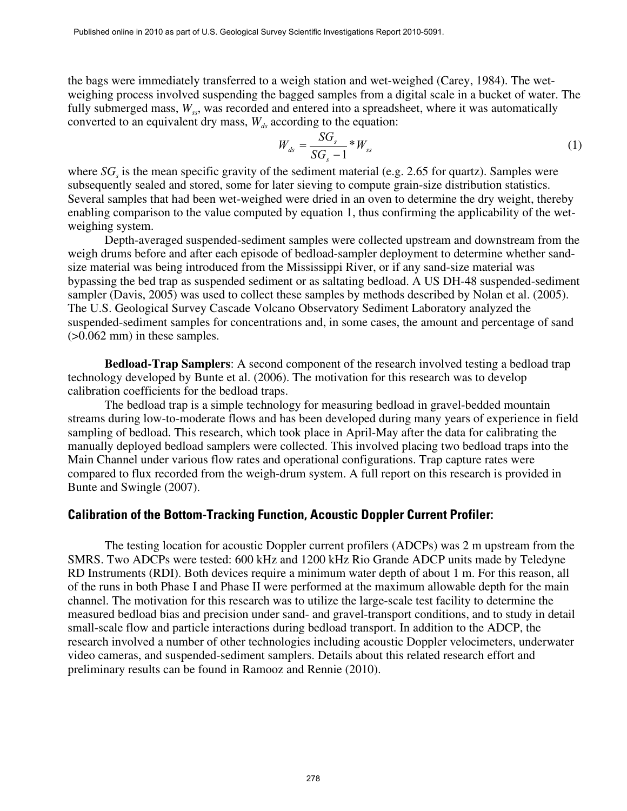the bags were immediately transferred to a weigh station and wet-weighed (Carey, 1984). The wetweighing process involved suspending the bagged samples from a digital scale in a bucket of water. The fully submerged mass,  $W_{ss}$ , was recorded and entered into a spreadsheet, where it was automatically converted to an equivalent dry mass,  $W_{ds}$  according to the equation:

$$
W_{ds} = \frac{SG_s}{SG_s - 1} * W_{ss} \tag{1}
$$

where  $SG<sub>s</sub>$  is the mean specific gravity of the sediment material (e.g. 2.65 for quartz). Samples were subsequently sealed and stored, some for later sieving to compute grain-size distribution statistics. Several samples that had been wet-weighed were dried in an oven to determine the dry weight, thereby enabling comparison to the value computed by equation 1, thus confirming the applicability of the wetweighing system.

Depth-averaged suspended-sediment samples were collected upstream and downstream from the weigh drums before and after each episode of bedload-sampler deployment to determine whether sandsize material was being introduced from the Mississippi River, or if any sand-size material was bypassing the bed trap as suspended sediment or as saltating bedload. A US DH-48 suspended-sediment sampler (Davis, 2005) was used to collect these samples by methods described by Nolan et al. (2005). The U.S. Geological Survey Cascade Volcano Observatory Sediment Laboratory analyzed the suspended-sediment samples for concentrations and, in some cases, the amount and percentage of sand (>0.062 mm) in these samples.

**Bedload-Trap Samplers**: A second component of the research involved testing a bedload trap technology developed by Bunte et al. (2006). The motivation for this research was to develop calibration coefficients for the bedload traps.

The bedload trap is a simple technology for measuring bedload in gravel-bedded mountain streams during low-to-moderate flows and has been developed during many years of experience in field sampling of bedload. This research, which took place in April-May after the data for calibrating the manually deployed bedload samplers were collected. This involved placing two bedload traps into the Main Channel under various flow rates and operational configurations. Trap capture rates were compared to flux recorded from the weigh-drum system. A full report on this research is provided in Bunte and Swingle (2007).

#### **Calibration of the Bottom-Tracking Function, Acoustic Doppler Current Profiler:**

The testing location for acoustic Doppler current profilers (ADCPs) was 2 m upstream from the SMRS. Two ADCPs were tested: 600 kHz and 1200 kHz Rio Grande ADCP units made by Teledyne RD Instruments (RDI). Both devices require a minimum water depth of about 1 m. For this reason, all of the runs in both Phase I and Phase II were performed at the maximum allowable depth for the main channel. The motivation for this research was to utilize the large-scale test facility to determine the measured bedload bias and precision under sand- and gravel-transport conditions, and to study in detail small-scale flow and particle interactions during bedload transport. In addition to the ADCP, the research involved a number of other technologies including acoustic Doppler velocimeters, underwater video cameras, and suspended-sediment samplers. Details about this related research effort and preliminary results can be found in Ramooz and Rennie (2010).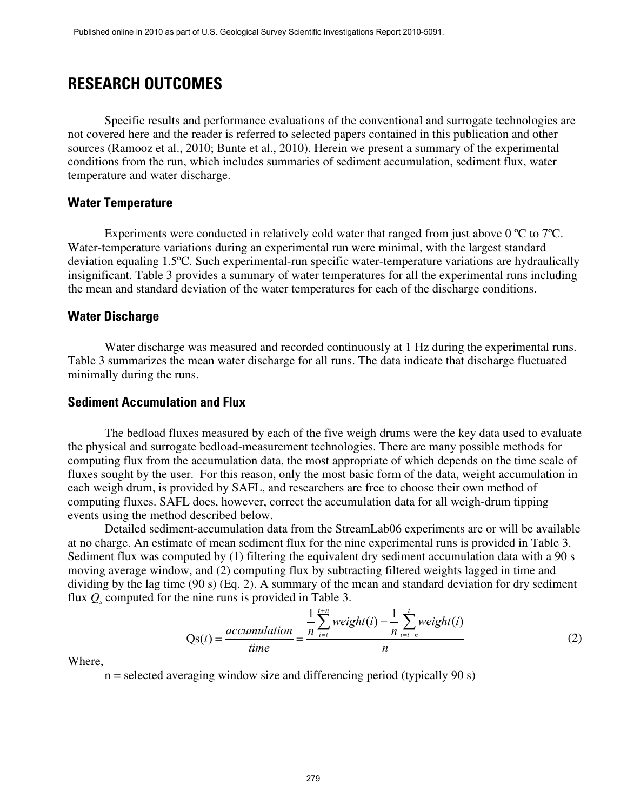### **RESEARCH OUTCOMES**

Specific results and performance evaluations of the conventional and surrogate technologies are not covered here and the reader is referred to selected papers contained in this publication and other sources (Ramooz et al., 2010; Bunte et al., 2010). Herein we present a summary of the experimental conditions from the run, which includes summaries of sediment accumulation, sediment flux, water temperature and water discharge.

#### **Water Temperature**

Experiments were conducted in relatively cold water that ranged from just above 0 °C to 7 °C. Water-temperature variations during an experimental run were minimal, with the largest standard deviation equaling 1.5ºC. Such experimental-run specific water-temperature variations are hydraulically insignificant. Table 3 provides a summary of water temperatures for all the experimental runs including the mean and standard deviation of the water temperatures for each of the discharge conditions.

#### **Water Discharge**

Water discharge was measured and recorded continuously at 1 Hz during the experimental runs. Table 3 summarizes the mean water discharge for all runs. The data indicate that discharge fluctuated minimally during the runs.

#### **Sediment Accumulation and Flux**

The bedload fluxes measured by each of the five weigh drums were the key data used to evaluate the physical and surrogate bedload-measurement technologies. There are many possible methods for computing flux from the accumulation data, the most appropriate of which depends on the time scale of fluxes sought by the user. For this reason, only the most basic form of the data, weight accumulation in each weigh drum, is provided by SAFL, and researchers are free to choose their own method of computing fluxes. SAFL does, however, correct the accumulation data for all weigh-drum tipping events using the method described below.

Detailed sediment-accumulation data from the StreamLab06 experiments are or will be available at no charge. An estimate of mean sediment flux for the nine experimental runs is provided in Table 3. Sediment flux was computed by (1) filtering the equivalent dry sediment accumulation data with a 90 s moving average window, and (2) computing flux by subtracting filtered weights lagged in time and dividing by the lag time (90 s) (Eq. 2). A summary of the mean and standard deviation for dry sediment flux  $Q_s$  computed for the nine runs is provided in Table 3.

$$
Qs(t) = \frac{accumulation}{time} = \frac{\frac{1}{n} \sum_{i=t}^{t+n} weight(i) - \frac{1}{n} \sum_{i=t-n}^{t} weight(i)}{n}
$$
(2)

Where,

 $n =$  selected averaging window size and differencing period (typically 90 s)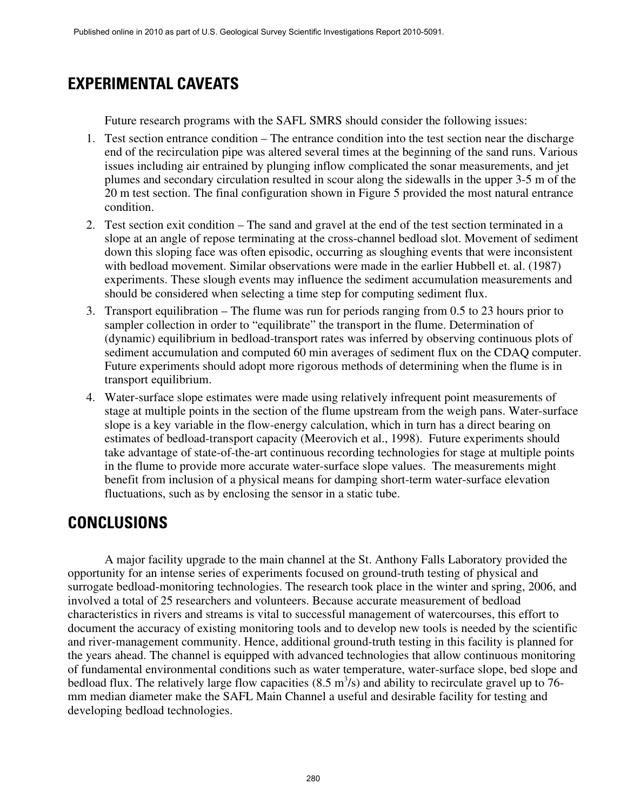# **EXPERIMENTAL CAVEATS**

Future research programs with the SAFL SMRS should consider the following issues:

- 1. Test section entrance condition The entrance condition into the test section near the discharge end of the recirculation pipe was altered several times at the beginning of the sand runs. Various issues including air entrained by plunging inflow complicated the sonar measurements, and jet plumes and secondary circulation resulted in scour along the sidewalls in the upper 3-5 m of the 20 m test section. The final configuration shown in Figure 5 provided the most natural entrance condition.
- 2. Test section exit condition The sand and gravel at the end of the test section terminated in a slope at an angle of repose terminating at the cross-channel bedload slot. Movement of sediment down this sloping face was often episodic, occurring as sloughing events that were inconsistent with bedload movement. Similar observations were made in the earlier Hubbell et. al. (1987) experiments. These slough events may influence the sediment accumulation measurements and should be considered when selecting a time step for computing sediment flux.
- 3. Transport equilibration The flume was run for periods ranging from 0.5 to 23 hours prior to sampler collection in order to "equilibrate" the transport in the flume. Determination of (dynamic) equilibrium in bedload-transport rates was inferred by observing continuous plots of sediment accumulation and computed 60 min averages of sediment flux on the CDAQ computer. Future experiments should adopt more rigorous methods of determining when the flume is in transport equilibrium.
- 4. Water-surface slope estimates were made using relatively infrequent point measurements of stage at multiple points in the section of the flume upstream from the weigh pans. Water-surface slope is a key variable in the flow-energy calculation, which in turn has a direct bearing on estimates of bedload-transport capacity (Meerovich et al., 1998). Future experiments should take advantage of state-of-the-art continuous recording technologies for stage at multiple points in the flume to provide more accurate water-surface slope values. The measurements might benefit from inclusion of a physical means for damping short-term water-surface elevation fluctuations, such as by enclosing the sensor in a static tube.

# **CONCLUSIONS**

A major facility upgrade to the main channel at the St. Anthony Falls Laboratory provided the opportunity for an intense series of experiments focused on ground-truth testing of physical and surrogate bedload-monitoring technologies. The research took place in the winter and spring, 2006, and involved a total of 25 researchers and volunteers. Because accurate measurement of bedload characteristics in rivers and streams is vital to successful management of watercourses, this effort to document the accuracy of existing monitoring tools and to develop new tools is needed by the scientific and river-management community. Hence, additional ground-truth testing in this facility is planned for the years ahead. The channel is equipped with advanced technologies that allow continuous monitoring of fundamental environmental conditions such as water temperature, water-surface slope, bed slope and bedload flux. The relatively large flow capacities  $(8.5 \text{ m}^3/\text{s})$  and ability to recirculate gravel up to 76mm median diameter make the SAFL Main Channel a useful and desirable facility for testing and developing bedload technologies.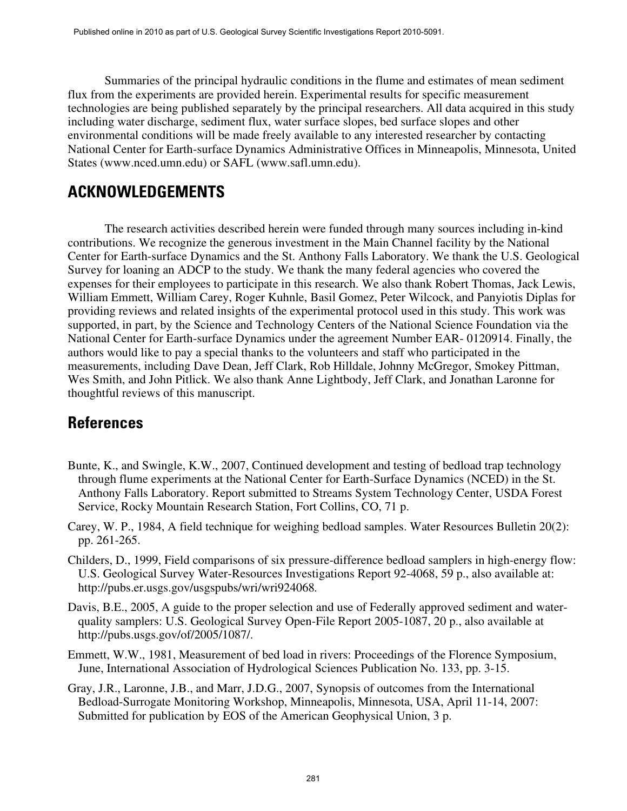Summaries of the principal hydraulic conditions in the flume and estimates of mean sediment flux from the experiments are provided herein. Experimental results for specific measurement technologies are being published separately by the principal researchers. All data acquired in this study including water discharge, sediment flux, water surface slopes, bed surface slopes and other environmental conditions will be made freely available to any interested researcher by contacting National Center for Earth-surface Dynamics Administrative Offices in Minneapolis, Minnesota, United States [\(www.nced.umn.edu\)](http://www.nced.umn.edu/) or SAFL (www.safl.umn.edu).

# **ACKNOWLEDGEMENTS**

The research activities described herein were funded through many sources including in-kind contributions. We recognize the generous investment in the Main Channel facility by the National Center for Earth-surface Dynamics and the St. Anthony Falls Laboratory. We thank the U.S. Geological Survey for loaning an ADCP to the study. We thank the many federal agencies who covered the expenses for their employees to participate in this research. We also thank Robert Thomas, Jack Lewis, William Emmett, William Carey, Roger Kuhnle, Basil Gomez, Peter Wilcock, and Panyiotis Diplas for providing reviews and related insights of the experimental protocol used in this study. This work was supported, in part, by the Science and Technology Centers of the National Science Foundation via the National Center for Earth-surface Dynamics under the agreement Number EAR- 0120914. Finally, the authors would like to pay a special thanks to the volunteers and staff who participated in the measurements, including Dave Dean, Jeff Clark, Rob Hilldale, Johnny McGregor, Smokey Pittman, Wes Smith, and John Pitlick. We also thank Anne Lightbody, Jeff Clark, and Jonathan Laronne for thoughtful reviews of this manuscript.

### **References**

- Bunte, K., and Swingle, K.W., 2007, Continued development and testing of bedload trap technology through flume experiments at the National Center for Earth-Surface Dynamics (NCED) in the St. Anthony Falls Laboratory. Report submitted to Streams System Technology Center, USDA Forest Service, Rocky Mountain Research Station, Fort Collins, CO, 71 p.
- Carey, W. P., 1984, A field technique for weighing bedload samples. Water Resources Bulletin 20(2): pp. 261-265.
- Childers, D., 1999, Field comparisons of six pressure-difference bedload samplers in high-energy flow: U.S. Geological Survey Water-Resources Investigations Report 92-4068, 59 p., also available at: <http://pubs.er.usgs.gov/usgspubs/wri/wri924068>*.*
- Davis, B.E., 2005, A guide to the proper selection and use of Federally approved sediment and waterquality samplers: U.S. Geological Survey Open-File Report 2005-1087, 20 p., also available at http://pubs.usgs.gov/of/2005/1087/.
- Emmett, W.W., 1981, Measurement of bed load in rivers: Proceedings of the Florence Symposium, June, International Association of Hydrological Sciences Publication No. 133, pp. 3-15.
- Gray, J.R., Laronne, J.B., and Marr, J.D.G., 2007, Synopsis of outcomes from the International Bedload-Surrogate Monitoring Workshop, Minneapolis, Minnesota, USA, April 11-14, 2007: Submitted for publication by EOS of the American Geophysical Union, 3 p.